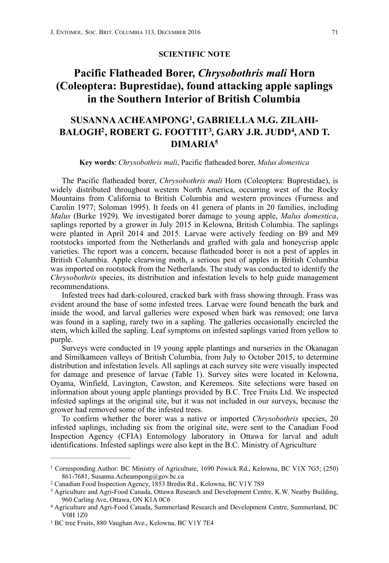#### <span id="page-0-9"></span><span id="page-0-8"></span><span id="page-0-7"></span><span id="page-0-5"></span>**SCIENTIFIC NOTE**

# **Pacific Flatheaded Borer,** *Chrysobothris mali* **Horn (Coleoptera: Buprestidae), found attacking apple saplings in the Southern Interior of British Columbia**

## **SUSANNA ACHEAMPONG , GABRIELLA M.G. ZILAHI- [1](#page-0-0) BALOGH<sup>2</sup>[,](#page-0-3) ROBERT G. FOOTTIT<sup>3</sup>, GARY J.R. JUDD<sup>4</sup>, AND T. DIMARI[A5](#page-0-4)**

#### <span id="page-0-6"></span>**Key words**: *Chrysobothris mali*, Pacific flatheaded borer, *Malus domestica*

The Pacific flatheaded borer, *Chrysobothris mali* Horn (Coleoptera: Buprestidae), is widely distributed throughout western North America, occurring west of the Rocky Mountains from California to British Columbia and western provinces (Furness and Carolin 1977; Soloman 1995). It feeds on 41 genera of plants in 20 families, including *Malus* (Burke 1929). We investigated borer damage to young apple, *Malus domestica*, saplings reported by a grower in July 2015 in Kelowna, British Columbia. The saplings were planted in April 2014 and 2015. Larvae were actively feeding on B9 and M9 rootstocks imported from the Netherlands and grafted with gala and honeycrisp apple varieties. The report was a concern, because flatheaded borer is not a pest of apples in British Columbia. Apple clearwing moth, a serious pest of apples in British Columbia was imported on rootstock from the Netherlands. The study was conducted to identify the *Chrysobothris* species, its distribution and infestation levels to help guide management recommendations.

Infested trees had dark-coloured, cracked bark with frass showing through. Frass was evident around the base of some infested trees. Larvae were found beneath the bark and inside the wood, and larval galleries were exposed when bark was removed; one larva was found in a sapling, rarely two in a sapling. The galleries occasionally encircled the stem, which killed the sapling. Leaf symptoms on infested saplings varied from yellow to purple.

Surveys were conducted in 19 young apple plantings and nurseries in the Okanagan and Similkameen valleys of British Columbia, from July to October 2015, to determine distribution and infestation levels. All saplings at each survey site were visually inspected for damage and presence of larvae (Table 1). Survey sites were located in Kelowna, Oyama, Winfield, Lavington, Cawston, and Keremeos. Site selections were based on information about young apple plantings provided by B.C. Tree Fruits Ltd. We inspected infested saplings at the original site, but it was not included in our surveys, because the grower had removed some of the infested trees.

To confirm whether the borer was a native or imported *Chrysobothris* species, 20 infested saplings, including six from the original site, were sent to the Canadian Food Inspection Agency (CFIA) Entomology laboratory in Ottawa for larval and adult identifications. Infested saplings were also kept in the B.C. Ministry of Agriculture

<span id="page-0-0"></span><sup>&</sup>lt;sup>1</sup>Corresponding Author: BC Ministry of Agriculture, [1](#page-0-5)690 Powick Rd., Kelowna, BC V1X 7G5; (250) 861-7681, [Susanna.Acheampong@gov.bc.ca](mailto:Susanna.Acheampong@gov.bc.ca)

<span id="page-0-1"></span>[<sup>2</sup>](#page-0-6) Canadian Food Inspection Agency, 1853 Bredin Rd., Kelowna, BC V1Y 7S9

<span id="page-0-2"></span><sup>&</sup>lt;sup>3</sup>Agriculture and Agri-Food Canada, Ottawa Research and Development Centre, K.W. Neatby Building, 960 Carling Ave, Ottawa, ON K1A 0C6

<span id="page-0-3"></span>Agriculture and Agri-Food Canada, Summerland Research and Development Centre, Summerland, BC [4](#page-0-8) V0H 1Z0

<span id="page-0-4"></span>[<sup>5</sup>](#page-0-9) BC tree Fruits, 880 Vaughan Ave., Kelowna, BC V1Y 7E4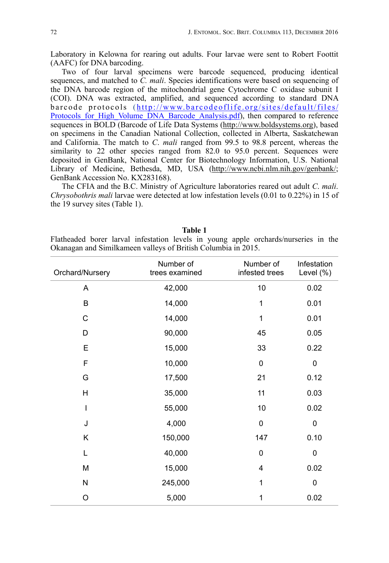Laboratory in Kelowna for rearing out adults. Four larvae were sent to Robert Foottit (AAFC) for DNA barcoding.

Two of four larval specimens were barcode sequenced, producing identical sequences, and matched to *C. mali*. Species identifications were based on sequencing of the DNA barcode region of the mitochondrial gene Cytochrome C oxidase subunit I (COI). DNA was extracted, amplified, and sequenced according to standard DNA b a r code protocols (http://www.barcodeoflife.org/sites/default/files/ Protocols for High Volume DNA Barcode Analysis.pdf), then compared to reference sequences in BOLD (Barcode of Life Data Systems (<http://www.boldsystems.org>), based on specimens in the Canadian National Collection, collected in Alberta, Saskatchewan and California. The match to *C*. *mali* ranged from 99.5 to 98.8 percent, whereas the similarity to 22 other species ranged from 82.0 to 95.0 percent. Sequences were deposited in GenBank, National Center for Biotechnology Information, U.S. National Library of Medicine, Bethesda, MD, USA [\(http://www.ncbi.nlm.nih.gov/genbank/](http://www.ncbi.nlm.nih.gov/genbank/); GenBank Accession No. KX283168).

The CFIA and the B.C. Ministry of Agriculture laboratories reared out adult *C*. *mali*. *Chrysobothris mali* larvae were detected at low infestation levels (0.01 to 0.22%) in 15 of the 19 survey sites (Table 1).

| .                                                             |  |  |  |  |  |  |  |                                                                                     |  |  |
|---------------------------------------------------------------|--|--|--|--|--|--|--|-------------------------------------------------------------------------------------|--|--|
|                                                               |  |  |  |  |  |  |  | Flatheaded borer larval infestation levels in young apple orchards/nurseries in the |  |  |
| Okanagan and Similkameen valleys of British Columbia in 2015. |  |  |  |  |  |  |  |                                                                                     |  |  |

| Orchard/Nursery | Number of<br>trees examined | Number of<br>infested trees | Infestation<br>Level (%) |
|-----------------|-----------------------------|-----------------------------|--------------------------|
| A               | 42,000                      | 10                          | 0.02                     |
| B               | 14,000                      | 1                           | 0.01                     |
| С               | 14,000                      | 1                           | 0.01                     |
| D               | 90,000                      | 45                          | 0.05                     |
| Е               | 15,000                      | 33                          | 0.22                     |
| F               | 10,000                      | $\mathbf 0$                 | $\pmb{0}$                |
| G               | 17,500                      | 21                          | 0.12                     |
| H               | 35,000                      | 11                          | 0.03                     |
| I               | 55,000                      | 10                          | 0.02                     |
| J               | 4,000                       | $\mathbf 0$                 | $\pmb{0}$                |
| Κ               | 150,000                     | 147                         | 0.10                     |
| L               | 40,000                      | $\mathbf 0$                 | $\pmb{0}$                |
| M               | 15,000                      | $\overline{4}$              | 0.02                     |
| N               | 245,000                     | 1                           | 0                        |
| O               | 5,000                       | 1                           | 0.02                     |

### **Table 1**